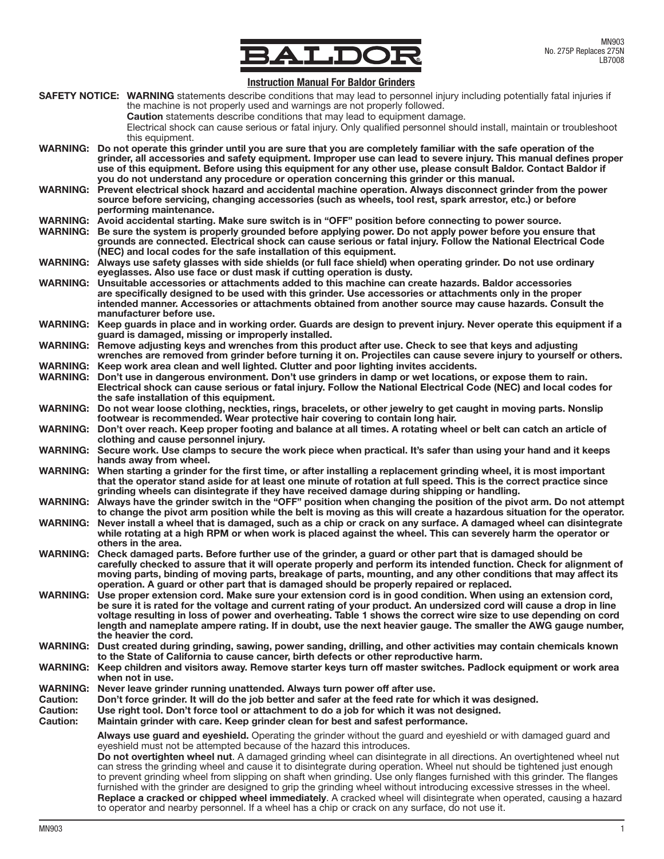

# Instruction Manual For Baldor Grinders

|                 | 111988998911 1119811998 1 91 D91999 911119919                                                                                                                                                                                                                                                                                                                                                                                                                        |  |  |  |  |  |  |
|-----------------|----------------------------------------------------------------------------------------------------------------------------------------------------------------------------------------------------------------------------------------------------------------------------------------------------------------------------------------------------------------------------------------------------------------------------------------------------------------------|--|--|--|--|--|--|
|                 | SAFETY NOTICE: WARNING statements describe conditions that may lead to personnel injury including potentially fatal injuries if<br>the machine is not properly used and warnings are not properly followed.<br><b>Caution</b> statements describe conditions that may lead to equipment damage.<br>Electrical shock can cause serious or fatal injury. Only qualified personnel should install, maintain or troubleshoot                                             |  |  |  |  |  |  |
|                 |                                                                                                                                                                                                                                                                                                                                                                                                                                                                      |  |  |  |  |  |  |
| <b>WARNING:</b> | this equipment.<br>Do not operate this grinder until you are sure that you are completely familiar with the safe operation of the<br>grinder, all accessories and safety equipment. Improper use can lead to severe injury. This manual defines proper<br>use of this equipment. Before using this equipment for any other use, please consult Baldor. Contact Baldor if<br>you do not understand any procedure or operation concerning this grinder or this manual. |  |  |  |  |  |  |
| <b>WARNING:</b> | Prevent electrical shock hazard and accidental machine operation. Always disconnect grinder from the power<br>source before servicing, changing accessories (such as wheels, tool rest, spark arrestor, etc.) or before<br>performing maintenance.                                                                                                                                                                                                                   |  |  |  |  |  |  |
|                 | WARNING: Avoid accidental starting. Make sure switch is in "OFF" position before connecting to power source.                                                                                                                                                                                                                                                                                                                                                         |  |  |  |  |  |  |
| <b>WARNING:</b> |                                                                                                                                                                                                                                                                                                                                                                                                                                                                      |  |  |  |  |  |  |
|                 | Be sure the system is properly grounded before applying power. Do not apply power before you ensure that<br>grounds are connected. Electrical shock can cause serious or fatal injury. Follow the National Electrical Code                                                                                                                                                                                                                                           |  |  |  |  |  |  |
|                 |                                                                                                                                                                                                                                                                                                                                                                                                                                                                      |  |  |  |  |  |  |
|                 | (NEC) and local codes for the safe installation of this equipment.                                                                                                                                                                                                                                                                                                                                                                                                   |  |  |  |  |  |  |
| <b>WARNING:</b> | Always use safety glasses with side shields (or full face shield) when operating grinder. Do not use ordinary                                                                                                                                                                                                                                                                                                                                                        |  |  |  |  |  |  |
|                 | eyeglasses. Also use face or dust mask if cutting operation is dusty.                                                                                                                                                                                                                                                                                                                                                                                                |  |  |  |  |  |  |
| WARNING:        | Unsuitable accessories or attachments added to this machine can create hazards. Baldor accessories                                                                                                                                                                                                                                                                                                                                                                   |  |  |  |  |  |  |
|                 | are specifically designed to be used with this grinder. Use accessories or attachments only in the proper                                                                                                                                                                                                                                                                                                                                                            |  |  |  |  |  |  |
|                 |                                                                                                                                                                                                                                                                                                                                                                                                                                                                      |  |  |  |  |  |  |
|                 | intended manner. Accessories or attachments obtained from another source may cause hazards. Consult the                                                                                                                                                                                                                                                                                                                                                              |  |  |  |  |  |  |
|                 | manufacturer before use.                                                                                                                                                                                                                                                                                                                                                                                                                                             |  |  |  |  |  |  |
| <b>WARNING:</b> | Keep guards in place and in working order. Guards are design to prevent injury. Never operate this equipment if a                                                                                                                                                                                                                                                                                                                                                    |  |  |  |  |  |  |
|                 | guard is damaged, missing or improperly installed.                                                                                                                                                                                                                                                                                                                                                                                                                   |  |  |  |  |  |  |
|                 | WARNING: Remove adjusting keys and wrenches from this product after use. Check to see that keys and adjusting                                                                                                                                                                                                                                                                                                                                                        |  |  |  |  |  |  |
|                 | wrenches are removed from grinder before turning it on. Projectiles can cause severe injury to yourself or others.                                                                                                                                                                                                                                                                                                                                                   |  |  |  |  |  |  |
| <b>WARNING:</b> | Keep work area clean and well lighted. Clutter and poor lighting invites accidents.                                                                                                                                                                                                                                                                                                                                                                                  |  |  |  |  |  |  |
| <b>WARNING:</b> | Don't use in dangerous environment. Don't use grinders in damp or wet locations, or expose them to rain.                                                                                                                                                                                                                                                                                                                                                             |  |  |  |  |  |  |
|                 |                                                                                                                                                                                                                                                                                                                                                                                                                                                                      |  |  |  |  |  |  |
|                 | Electrical shock can cause serious or fatal injury. Follow the National Electrical Code (NEC) and local codes for                                                                                                                                                                                                                                                                                                                                                    |  |  |  |  |  |  |
|                 | the safe installation of this equipment.                                                                                                                                                                                                                                                                                                                                                                                                                             |  |  |  |  |  |  |
| <b>WARNING:</b> | Do not wear loose clothing, neckties, rings, bracelets, or other jewelry to get caught in moving parts. Nonslip                                                                                                                                                                                                                                                                                                                                                      |  |  |  |  |  |  |
|                 | footwear is recommended. Wear protective hair covering to contain long hair.                                                                                                                                                                                                                                                                                                                                                                                         |  |  |  |  |  |  |
| <b>WARNING:</b> | Don't over reach. Keep proper footing and balance at all times. A rotating wheel or belt can catch an article of                                                                                                                                                                                                                                                                                                                                                     |  |  |  |  |  |  |
|                 | clothing and cause personnel injury.                                                                                                                                                                                                                                                                                                                                                                                                                                 |  |  |  |  |  |  |
|                 | WARNING: Secure work. Use clamps to secure the work piece when practical. It's safer than using your hand and it keeps                                                                                                                                                                                                                                                                                                                                               |  |  |  |  |  |  |
|                 | hands away from wheel.                                                                                                                                                                                                                                                                                                                                                                                                                                               |  |  |  |  |  |  |
| <b>WARNING:</b> | When starting a grinder for the first time, or after installing a replacement grinding wheel, it is most important                                                                                                                                                                                                                                                                                                                                                   |  |  |  |  |  |  |
|                 | that the operator stand aside for at least one minute of rotation at full speed. This is the correct practice since                                                                                                                                                                                                                                                                                                                                                  |  |  |  |  |  |  |
|                 | grinding wheels can disintegrate if they have received damage during shipping or handling.                                                                                                                                                                                                                                                                                                                                                                           |  |  |  |  |  |  |
|                 | WARNING: Always have the grinder switch in the "OFF" position when changing the position of the pivot arm. Do not attempt                                                                                                                                                                                                                                                                                                                                            |  |  |  |  |  |  |
|                 | to change the pivot arm position while the belt is moving as this will create a hazardous situation for the operator.                                                                                                                                                                                                                                                                                                                                                |  |  |  |  |  |  |
|                 |                                                                                                                                                                                                                                                                                                                                                                                                                                                                      |  |  |  |  |  |  |
| <b>WARNING:</b> | Never install a wheel that is damaged, such as a chip or crack on any surface. A damaged wheel can disintegrate                                                                                                                                                                                                                                                                                                                                                      |  |  |  |  |  |  |
|                 | while rotating at a high RPM or when work is placed against the wheel. This can severely harm the operator or                                                                                                                                                                                                                                                                                                                                                        |  |  |  |  |  |  |
|                 | others in the area.                                                                                                                                                                                                                                                                                                                                                                                                                                                  |  |  |  |  |  |  |
| <b>WARNING:</b> | Check damaged parts. Before further use of the grinder, a guard or other part that is damaged should be                                                                                                                                                                                                                                                                                                                                                              |  |  |  |  |  |  |
|                 | carefully checked to assure that it will operate properly and perform its intended function. Check for alignment of                                                                                                                                                                                                                                                                                                                                                  |  |  |  |  |  |  |
|                 | moving parts, binding of moving parts, breakage of parts, mounting, and any other conditions that may affect its                                                                                                                                                                                                                                                                                                                                                     |  |  |  |  |  |  |
|                 | operation. A guard or other part that is damaged should be properly repaired or replaced.                                                                                                                                                                                                                                                                                                                                                                            |  |  |  |  |  |  |
| <b>WARNING:</b> | Use proper extension cord. Make sure your extension cord is in good condition. When using an extension cord,                                                                                                                                                                                                                                                                                                                                                         |  |  |  |  |  |  |
|                 | be sure it is rated for the voltage and current rating of your product. An undersized cord will cause a drop in line                                                                                                                                                                                                                                                                                                                                                 |  |  |  |  |  |  |
|                 | voltage resulting in loss of power and overheating. Table 1 shows the correct wire size to use depending on cord                                                                                                                                                                                                                                                                                                                                                     |  |  |  |  |  |  |
|                 | length and nameplate ampere rating. If in doubt, use the next heavier gauge. The smaller the AWG gauge number,                                                                                                                                                                                                                                                                                                                                                       |  |  |  |  |  |  |
|                 | the heavier the cord.                                                                                                                                                                                                                                                                                                                                                                                                                                                |  |  |  |  |  |  |
| <b>WARNING:</b> | Dust created during grinding, sawing, power sanding, drilling, and other activities may contain chemicals known                                                                                                                                                                                                                                                                                                                                                      |  |  |  |  |  |  |
|                 |                                                                                                                                                                                                                                                                                                                                                                                                                                                                      |  |  |  |  |  |  |
|                 | to the State of California to cause cancer, birth defects or other reproductive harm.                                                                                                                                                                                                                                                                                                                                                                                |  |  |  |  |  |  |
| <b>WARNING:</b> | Keep children and visitors away. Remove starter keys turn off master switches. Padlock equipment or work area                                                                                                                                                                                                                                                                                                                                                        |  |  |  |  |  |  |
|                 | when not in use.                                                                                                                                                                                                                                                                                                                                                                                                                                                     |  |  |  |  |  |  |
| <b>WARNING:</b> | Never leave grinder running unattended. Always turn power off after use.                                                                                                                                                                                                                                                                                                                                                                                             |  |  |  |  |  |  |
| <b>Caution:</b> | Don't force grinder. It will do the job better and safer at the feed rate for which it was designed.                                                                                                                                                                                                                                                                                                                                                                 |  |  |  |  |  |  |
| <b>Caution:</b> | Use right tool. Don't force tool or attachment to do a job for which it was not designed.                                                                                                                                                                                                                                                                                                                                                                            |  |  |  |  |  |  |
| <b>Caution:</b> | Maintain grinder with care. Keep grinder clean for best and safest performance.                                                                                                                                                                                                                                                                                                                                                                                      |  |  |  |  |  |  |
|                 |                                                                                                                                                                                                                                                                                                                                                                                                                                                                      |  |  |  |  |  |  |
|                 | Always use guard and eyeshield. Operating the grinder without the guard and eyeshield or with damaged guard and                                                                                                                                                                                                                                                                                                                                                      |  |  |  |  |  |  |
|                 | eyeshield must not be attempted because of the hazard this introduces.                                                                                                                                                                                                                                                                                                                                                                                               |  |  |  |  |  |  |
|                 | Do not overtighten wheel nut. A damaged grinding wheel can disintegrate in all directions. An overtightened wheel nut                                                                                                                                                                                                                                                                                                                                                |  |  |  |  |  |  |
|                 | can stress the grinding wheel and cause it to disintegrate during operation. Wheel nut should be tightened just enough                                                                                                                                                                                                                                                                                                                                               |  |  |  |  |  |  |
|                 | to prevent grinding wheel from slipping on shaft when grinding. Use only flanges furnished with this grinder. The flanges                                                                                                                                                                                                                                                                                                                                            |  |  |  |  |  |  |
|                 | furnished with the grinder are designed to grip the grinding wheel without introducing excessive stresses in the wheel.                                                                                                                                                                                                                                                                                                                                              |  |  |  |  |  |  |
|                 | Replace a cracked or chipped wheel immediately. A cracked wheel will disintegrate when operated, causing a hazard                                                                                                                                                                                                                                                                                                                                                    |  |  |  |  |  |  |
|                 | to operator and nearby personnel. If a wheel has a chip or crack on any surface, do not use it.                                                                                                                                                                                                                                                                                                                                                                      |  |  |  |  |  |  |
|                 |                                                                                                                                                                                                                                                                                                                                                                                                                                                                      |  |  |  |  |  |  |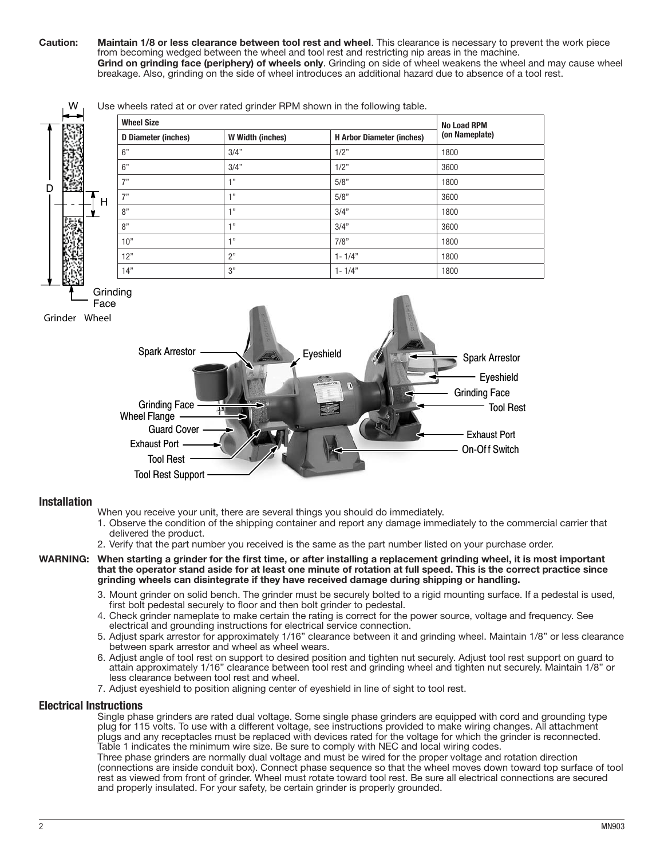Caution: Maintain 1/8 or less clearance between tool rest and wheel. This clearance is necessary to prevent the work piece from becoming wedged between the wheel and tool rest and restricting nip areas in the machine. Grind on grinding face (periphery) of wheels only. Grinding on side of wheel weakens the wheel and may cause wheel breakage. Also, grinding on the side of wheel introduces an additional hazard due to absence of a tool rest.

Wheel Size No Load RPM D Diameter (inches) W Width (inches) H Arbor Diameter (inches) (on Nameplate) 6" 3/4" 1/2" 1800 6" 3/4" 1/2" 3600 7" 1" 1 1 5/8" 1800 7" 1" 1 5/8" 5/8" 3600 8" | 1" | 3/4" | 1800 8" 1" 1 3/4" 374 3600  $10"$  1800  $12"$  2" 1-  $1/4"$  1800  $14"$  14" 1800 Spark Arrestor Eyeshield Spark Arrestor **Executive Arrestor** Grinding Face **Grinder Wheel** H

### Use wheels rated at or over rated grinder RPM shown in the following table.

#### Installation

 $\mathsf{D}$ 

W

Grinding Face

Exhaust Port

Wheel Flange

Guard Cover

Tool Rest Support

Tool Rest

When you receive your unit, there are several things you should do immediately.

1. Observe the condition of the shipping container and report any damage immediately to the commercial carrier that delivered the product.

On-Of f Switch

Exhaust Port

Grinding Face

Tool Rest

- 2. Verify that the part number you received is the same as the part number listed on your purchase order.
- WARNING: When starting a grinder for the first time, or after installing a replacement grinding wheel, it is most important that the operator stand aside for at least one minute of rotation at full speed. This is the correct practice since grinding wheels can disintegrate if they have received damage during shipping or handling.
	- 3. Mount grinder on solid bench. The grinder must be securely bolted to a rigid mounting surface. If a pedestal is used, first bolt pedestal securely to floor and then bolt grinder to pedestal.
	- 4. Check grinder nameplate to make certain the rating is correct for the power source, voltage and frequency. See electrical and grounding instructions for electrical service connection.
	- 5. Adjust spark arrestor for approximately 1/16" clearance between it and grinding wheel. Maintain 1/8" or less clearance between spark arrestor and wheel as wheel wears.
	- 6. Adjust angle of tool rest on support to desired position and tighten nut securely. Adjust tool rest support on guard to attain approximately 1/16" clearance between tool rest and grinding wheel and tighten nut securely. Maintain 1/8" or less clearance between tool rest and wheel.
	- 7. Adjust eyeshield to position aligning center of eyeshield in line of sight to tool rest.

#### Electrical Instructions

Single phase grinders are rated dual voltage. Some single phase grinders are equipped with cord and grounding type plug for 115 volts. To use with a different voltage, see instructions provided to make wiring changes. All attachment plugs and any receptacles must be replaced with devices rated for the voltage for which the grinder is reconnected. Table 1 indicates the minimum wire size. Be sure to comply with NEC and local wiring codes.

Three phase grinders are normally dual voltage and must be wired for the proper voltage and rotation direction (connections are inside conduit box). Connect phase sequence so that the wheel moves down toward top surface of tool rest as viewed from front of grinder. Wheel must rotate toward tool rest. Be sure all electrical connections are secured and properly insulated. For your safety, be certain grinder is properly grounded.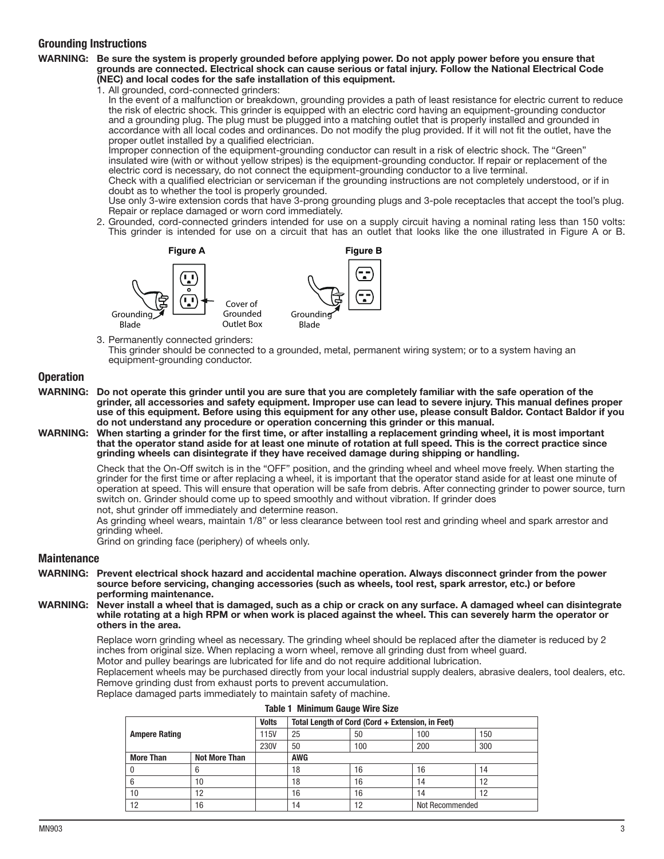## Grounding Instructions

#### WARNING: Be sure the system is properly grounded before applying power. Do not apply power before you ensure that grounds are connected. Electrical shock can cause serious or fatal injury. Follow the National Electrical Code (NEC) and local codes for the safe installation of this equipment.

1. All grounded, cord-connected grinders:

In the event of a malfunction or breakdown, grounding provides a path of least resistance for electric current to reduce the risk of electric shock. This grinder is equipped with an electric cord having an equipment-grounding conductor and a grounding plug. The plug must be plugged into a matching outlet that is properly installed and grounded in accordance with all local codes and ordinances. Do not modify the plug provided. If it will not fit the outlet, have the proper outlet installed by a qualified electrician.

Improper connection of the equipment-grounding conductor can result in a risk of electric shock. The "Green" insulated wire (with or without yellow stripes) is the equipment-grounding conductor. If repair or replacement of the electric cord is necessary, do not connect the equipment-grounding conductor to a live terminal.

Check with a qualified electrician or serviceman if the grounding instructions are not completely understood, or if in doubt as to whether the tool is properly grounded.

Use only 3-wire extension cords that have 3-prong grounding plugs and 3-pole receptacles that accept the tool's plug. Repair or replace damaged or worn cord immediately.

2. Grounded, cord-connected grinders intended for use on a supply circuit having a nominal rating less than 150 volts: This grinder is intended for use on a circuit that has an outlet that looks like the one illustrated in Figure A or B.



This grinder should be connected to a grounded, metal, permanent wiring system; or to a system having an equipment-grounding conductor.

## **Operation**

- WARNING: Do not operate this grinder until you are sure that you are completely familiar with the safe operation of the grinder, all accessories and safety equipment. Improper use can lead to severe injury. This manual defines proper use of this equipment. Before using this equipment for any other use, please consult Baldor. Contact Baldor if you do not understand any procedure or operation concerning this grinder or this manual.
- WARNING: When starting a grinder for the first time, or after installing a replacement grinding wheel, it is most important that the operator stand aside for at least one minute of rotation at full speed. This is the correct practice since grinding wheels can disintegrate if they have received damage during shipping or handling.

Check that the On-Off switch is in the "OFF" position, and the grinding wheel and wheel move freely. When starting the grinder for the first time or after replacing a wheel, it is important that the operator stand aside for at least one minute of operation at speed. This will ensure that operation will be safe from debris. After connecting grinder to power source, turn switch on. Grinder should come up to speed smoothly and without vibration. If grinder does not, shut grinder off immediately and determine reason.

As grinding wheel wears, maintain 1/8" or less clearance between tool rest and grinding wheel and spark arrestor and grinding wheel.

Grind on grinding face (periphery) of wheels only.

## **Maintenance**

- WARNING: Prevent electrical shock hazard and accidental machine operation. Always disconnect grinder from the power source before servicing, changing accessories (such as wheels, tool rest, spark arrestor, etc.) or before performing maintenance.
- WARNING: Never install a wheel that is damaged, such as a chip or crack on any surface. A damaged wheel can disintegrate while rotating at a high RPM or when work is placed against the wheel. This can severely harm the operator or others in the area.

Replace worn grinding wheel as necessary. The grinding wheel should be replaced after the diameter is reduced by 2 inches from original size. When replacing a worn wheel, remove all grinding dust from wheel guard. Motor and pulley bearings are lubricated for life and do not require additional lubrication.

Replacement wheels may be purchased directly from your local industrial supply dealers, abrasive dealers, tool dealers, etc. Remove grinding dust from exhaust ports to prevent accumulation.

Replace damaged parts immediately to maintain safety of machine.

|                      |                      | <b>Volts</b> | Total Length of Cord (Cord + Extension, in Feet) |     |                 |     |
|----------------------|----------------------|--------------|--------------------------------------------------|-----|-----------------|-----|
| <b>Ampere Rating</b> |                      | 115V         | 25                                               | 50  | 100             | 150 |
|                      |                      | <b>230V</b>  | 50                                               | 100 | 200             | 300 |
| <b>More Than</b>     | <b>Not More Than</b> |              | <b>AWG</b>                                       |     |                 |     |
|                      |                      |              | 18                                               | 16  | 16              | 14  |
|                      | 10                   |              | 18                                               | 16  | 14              | 12  |
| 10                   | 12                   |              | 16                                               | 16  | 14              | 12  |
| 12                   | 16                   |              | 14                                               | 12  | Not Recommended |     |

|  | <b>Table 1 Minimum Gauge Wire Size</b> |  |  |
|--|----------------------------------------|--|--|
|--|----------------------------------------|--|--|